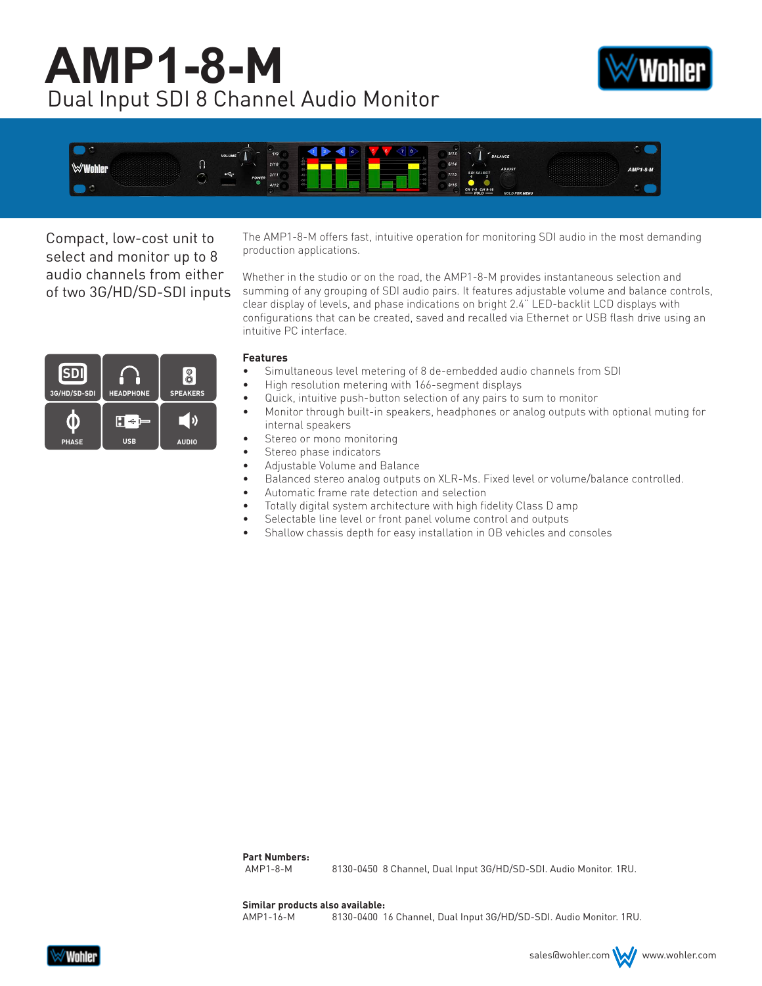# **AMP1-8-M** Dual Input SDI 8 Channel Audio Monitor





Compact, low-cost unit to select and monitor up to 8 audio channels from either of two 3G/HD/SD-SDI inputs The AMP1-8-M offers fast, intuitive operation for monitoring SDI audio in the most demanding production applications.

Whether in the studio or on the road, the AMP1-8-M provides instantaneous selection and summing of any grouping of SDI audio pairs. It features adjustable volume and balance controls, clear display of levels, and phase indications on bright 2.4" LED-backlit LCD displays with configurations that can be created, saved and recalled via Ethernet or USB flash drive using an intuitive PC interface.

#### **SDI**  $\delta$ **3G/HD/SD-SDI HEADPHONE SPEAKERS** \_ ()  $\boldsymbol{\mathsf{H}}\triangleq\boldsymbol{\mathsf{F}}$ O **PHASE USB AUDIO**

#### **Features**

- Simultaneous level metering of 8 de-embedded audio channels from SDI
- High resolution metering with 166-segment displays
- Quick, intuitive push-button selection of any pairs to sum to monitor
	- Monitor through built-in speakers, headphones or analog outputs with optional muting for internal speakers
- Stereo or mono monitoring
- Stereo phase indicators
- Adjustable Volume and Balance
- Balanced stereo analog outputs on XLR-Ms. Fixed level or volume/balance controlled.
- Automatic frame rate detection and selection
- Totally digital system architecture with high fidelity Class D amp
- Selectable line level or front panel volume control and outputs
- Shallow chassis depth for easy installation in OB vehicles and consoles

**Part Numbers:**

AMP1-8-M 8130-0450 8 Channel, Dual Input 3G/HD/SD-SDI. Audio Monitor. 1RU.

**Similar products also available:**

AMP1-16-M 8130-0400 16 Channel, Dual Input 3G/HD/SD-SDI. Audio Monitor. 1RU.